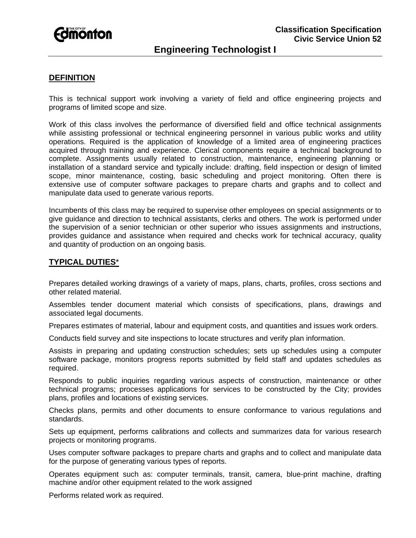

## **DEFINITION**

This is technical support work involving a variety of field and office engineering projects and programs of limited scope and size.

Work of this class involves the performance of diversified field and office technical assignments while assisting professional or technical engineering personnel in various public works and utility operations. Required is the application of knowledge of a limited area of engineering practices acquired through training and experience. Clerical components require a technical background to complete. Assignments usually related to construction, maintenance, engineering planning or installation of a standard service and typically include: drafting, field inspection or design of limited scope, minor maintenance, costing, basic scheduling and project monitoring. Often there is extensive use of computer software packages to prepare charts and graphs and to collect and manipulate data used to generate various reports.

Incumbents of this class may be required to supervise other employees on special assignments or to give guidance and direction to technical assistants, clerks and others. The work is performed under the supervision of a senior technician or other superior who issues assignments and instructions, provides guidance and assistance when required and checks work for technical accuracy, quality and quantity of production on an ongoing basis.

### **TYPICAL DUTIES**\*

Prepares detailed working drawings of a variety of maps, plans, charts, profiles, cross sections and other related material.

Assembles tender document material which consists of specifications, plans, drawings and associated legal documents.

Prepares estimates of material, labour and equipment costs, and quantities and issues work orders.

Conducts field survey and site inspections to locate structures and verify plan information.

Assists in preparing and updating construction schedules; sets up schedules using a computer software package, monitors progress reports submitted by field staff and updates schedules as required.

Responds to public inquiries regarding various aspects of construction, maintenance or other technical programs; processes applications for services to be constructed by the City; provides plans, profiles and locations of existing services.

Checks plans, permits and other documents to ensure conformance to various regulations and standards.

Sets up equipment, performs calibrations and collects and summarizes data for various research projects or monitoring programs.

Uses computer software packages to prepare charts and graphs and to collect and manipulate data for the purpose of generating various types of reports.

Operates equipment such as: computer terminals, transit, camera, blue-print machine, drafting machine and/or other equipment related to the work assigned

Performs related work as required.